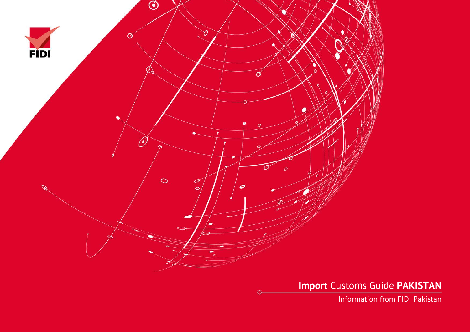

**Import** Customs Guide **PAKISTAN**

Information from FIDI Pakistan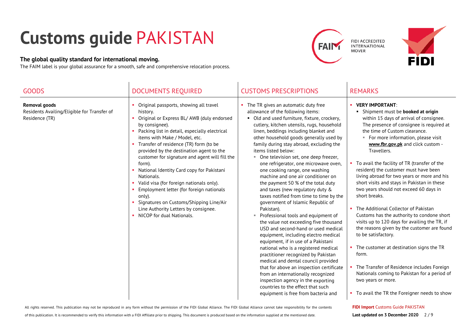## **Customs guide** PAKISTAN

## **The global quality standard for international moving.**

The FAIM label is your global assurance for a smooth, safe and comprehensive relocation process.





| <b>GOODS</b>                                                                          | <b>DOCUMENTS REQUIRED</b>                                                                                                                                                                                                                                                                                                                                                                                                                                                                                                                                                                                                                 | <b>CUSTOMS PRESCRIPTIONS</b>                                                                                                                                                                                                                                                                                                                                                                                                                                                                                                                                                                                                                                                                                                                                                                                                                                                                                                                                                                                                                                                                                                                                                                            | <b>REMARKS</b>                                                                                                                                                                                                                                                                                                                                                                                                                                                                                                                                                                                                                                                                                                                                                                                                                                                                                                                                                                 |
|---------------------------------------------------------------------------------------|-------------------------------------------------------------------------------------------------------------------------------------------------------------------------------------------------------------------------------------------------------------------------------------------------------------------------------------------------------------------------------------------------------------------------------------------------------------------------------------------------------------------------------------------------------------------------------------------------------------------------------------------|---------------------------------------------------------------------------------------------------------------------------------------------------------------------------------------------------------------------------------------------------------------------------------------------------------------------------------------------------------------------------------------------------------------------------------------------------------------------------------------------------------------------------------------------------------------------------------------------------------------------------------------------------------------------------------------------------------------------------------------------------------------------------------------------------------------------------------------------------------------------------------------------------------------------------------------------------------------------------------------------------------------------------------------------------------------------------------------------------------------------------------------------------------------------------------------------------------|--------------------------------------------------------------------------------------------------------------------------------------------------------------------------------------------------------------------------------------------------------------------------------------------------------------------------------------------------------------------------------------------------------------------------------------------------------------------------------------------------------------------------------------------------------------------------------------------------------------------------------------------------------------------------------------------------------------------------------------------------------------------------------------------------------------------------------------------------------------------------------------------------------------------------------------------------------------------------------|
| <b>Removal goods</b><br>Residents Availing/Eligible for Transfer of<br>Residence (TR) | Original passports, showing all travel<br>history.<br>Original or Express BL/ AWB (duly endorsed<br>by consignee).<br>Packing list in detail, especially electrical<br>items with Make / Model, etc.<br>• Transfer of residence (TR) form (to be<br>provided by the destination agent to the<br>customer for signature and agent will fill the<br>form).<br>National Identity Card copy for Pakistani<br>Nationals.<br>• Valid visa (for foreign nationals only).<br>Employment letter (for foreign nationals<br>only).<br>• Signatures on Customs/Shipping Line/Air<br>Line Authority Letters by consignee.<br>NICOP for dual Nationals. | The TR gives an automatic duty free<br>allowance of the following items:<br>• Old and used furniture, fixture, crockery,<br>cutlery, kitchen utensils, rugs, household<br>linen, beddings including blanket and<br>other household goods generally used by<br>family during stay abroad, excluding the<br>items listed below:<br>• One television set, one deep freezer,<br>one refrigerator, one microwave oven,<br>one cooking range, one washing<br>machine and one air conditioner on<br>the payment 50 % of the total duty<br>and taxes (new regulatory duty &<br>taxes notified from time to time by the<br>government of Islamic Republic of<br>Pakistan).<br>Professional tools and equipment of<br>m.<br>the value not exceeding five thousand<br>USD and second-hand or used medical<br>equipment, including electro medical<br>equipment, if in use of a Pakistani<br>national who is a registered medical<br>practitioner recognized by Pakistan<br>medical and dental council provided<br>that for above an inspection certificate<br>from an internationally recognized<br>inspection agency in the exporting<br>countries to the effect that such<br>equipment is free from bacteria and | • VERY IMPORTANT:<br>• Shipment must be <b>booked at origin</b><br>within 15 days of arrival of consignee.<br>The presence of consignee is required at<br>the time of Custom clearance.<br>For more information, please visit<br>www.fbr.gov.pk and click custom -<br>Travellers.<br>• To avail the facility of TR (transfer of the<br>resident) the customer must have been<br>living abroad for two years or more and his<br>short visits and stays in Pakistan in these<br>two years should not exceed 60 days in<br>short breaks.<br>The Additional Collector of Pakistan<br>Customs has the authority to condone short<br>visits up to 120 days for availing the TR, if<br>the reasons given by the customer are found<br>to be satisfactory.<br>• The customer at destination signs the TR<br>form.<br>The Transfer of Residence includes Foreign<br>Nationals coming to Pakistan for a period of<br>two years or more.<br>• To avail the TR the Foreigner needs to show |

All rights reserved. This publication may not be reproduced in any form without the permission of the FIDI Global Alliance. The FIDI Global Alliance cannot take responsibility for the contents

of this publication. It is recommended to verify this information with a FIDI Affiliate prior to shipping. This document is produced based on the information supplied at the mentioned date.

**FIDI Import** Customs Guide PAKISTAN

**Last updated on 3 December 2020** 2 / 9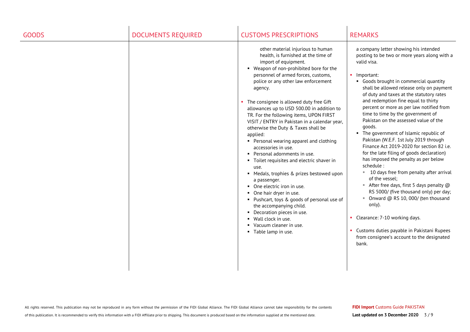| <b>GOODS</b> | <b>DOCUMENTS REQUIRED</b> | <b>CUSTOMS PRESCRIPTIONS</b>                                                                                                                                                                                                                                                                                                                                                                                                                                                                                                                                                                                                                                                                                                                                                                                                                                                                                                                       | <b>REMARKS</b>                                                                                                                                                                                                                                                                                                                                                                                                                                                                                                                                                                                                                                                                                                                                                                                                                                                                                                                                                                                                          |
|--------------|---------------------------|----------------------------------------------------------------------------------------------------------------------------------------------------------------------------------------------------------------------------------------------------------------------------------------------------------------------------------------------------------------------------------------------------------------------------------------------------------------------------------------------------------------------------------------------------------------------------------------------------------------------------------------------------------------------------------------------------------------------------------------------------------------------------------------------------------------------------------------------------------------------------------------------------------------------------------------------------|-------------------------------------------------------------------------------------------------------------------------------------------------------------------------------------------------------------------------------------------------------------------------------------------------------------------------------------------------------------------------------------------------------------------------------------------------------------------------------------------------------------------------------------------------------------------------------------------------------------------------------------------------------------------------------------------------------------------------------------------------------------------------------------------------------------------------------------------------------------------------------------------------------------------------------------------------------------------------------------------------------------------------|
|              |                           | other material injurious to human<br>health, is furnished at the time of<br>import of equipment.<br>• Weapon of non-prohibited bore for the<br>personnel of armed forces, customs,<br>police or any other law enforcement<br>agency.<br>• The consignee is allowed duty free Gift<br>allowances up to USD 500.00 in addition to<br>TR. For the following items, UPON FIRST<br>VISIT / ENTRY in Pakistan in a calendar year,<br>otherwise the Duty & Taxes shall be<br>applied:<br>• Personal wearing apparel and clothing<br>accessories in use.<br>Personal adornments in use.<br>• Toilet requisites and electric shaver in<br>use.<br>• Medals, trophies & prizes bestowed upon<br>a passenger.<br>• One electric iron in use.<br>• One hair dryer in use.<br>• Pushcart, toys & goods of personal use of<br>the accompanying child.<br>• Decoration pieces in use.<br>• Wall clock in use.<br>• Vacuum cleaner in use.<br>• Table lamp in use. | a company letter showing his intended<br>posting to be two or more years along with a<br>valid visa.<br>• Important:<br>• Goods brought in commercial quantity<br>shall be allowed release only on payment<br>of duty and taxes at the statutory rates<br>and redemption fine equal to thirty<br>percent or more as per law notified from<br>time to time by the government of<br>Pakistan on the assessed value of the<br>goods.<br>• The government of Islamic republic of<br>Pakistan (W.E.F. 1st July 2019 through<br>Finance Act 2019-2020 for section 82 i.e.<br>for the late filing of goods declaration)<br>has imposed the penalty as per below<br>schedule:<br>■ 10 days free from penalty after arrival<br>of the vessel:<br>After free days, first 5 days penalty $@$<br>RS 5000/ (five thousand only) per day;<br>■ Onward @ RS 10, 000/ (ten thousand<br>only).<br>• Clearance: 7-10 working days.<br>• Customs duties payable in Pakistani Rupees<br>from consignee's account to the designated<br>bank. |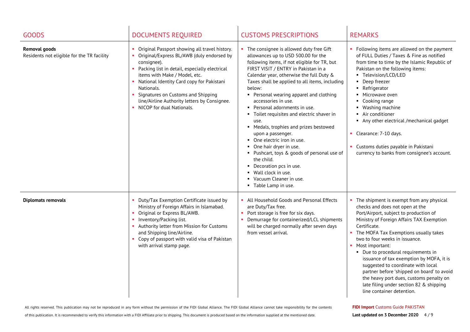| <b>GOODS</b>                                                       | <b>DOCUMENTS REQUIRED</b>                                                                                                                                                                                                                                                                                                                                                       | <b>CUSTOMS PRESCRIPTIONS</b>                                                                                                                                                                                                                                                                                                                                                                                                                                                                                                                                                                                                                                                                                                           | <b>REMARKS</b>                                                                                                                                                                                                                                                                                                                                                                                                                                                                                                                                                                   |
|--------------------------------------------------------------------|---------------------------------------------------------------------------------------------------------------------------------------------------------------------------------------------------------------------------------------------------------------------------------------------------------------------------------------------------------------------------------|----------------------------------------------------------------------------------------------------------------------------------------------------------------------------------------------------------------------------------------------------------------------------------------------------------------------------------------------------------------------------------------------------------------------------------------------------------------------------------------------------------------------------------------------------------------------------------------------------------------------------------------------------------------------------------------------------------------------------------------|----------------------------------------------------------------------------------------------------------------------------------------------------------------------------------------------------------------------------------------------------------------------------------------------------------------------------------------------------------------------------------------------------------------------------------------------------------------------------------------------------------------------------------------------------------------------------------|
| <b>Removal goods</b><br>Residents not eligible for the TR facility | • Original Passport showing all travel history.<br>Original/Express BL/AWB (duly endorsed by<br>consignee).<br>• Packing list in detail, especially electrical<br>items with Make / Model, etc.<br>National Identity Card copy for Pakistani<br>Nationals.<br>Signatures on Customs and Shipping<br>line/Airline Authority letters by Consignee.<br>• NICOP for dual Nationals. | The consignee is allowed duty free Gift<br>allowances up to USD 500.00 for the<br>following items, if not eligible for TR, but<br>FIRST VISIT / ENTRY in Pakistan in a<br>Calendar year, otherwise the full Duty &<br>Taxes shall be applied to all items, including<br>below:<br>• Personal wearing apparel and clothing<br>accessories in use.<br>• Personal adornments in use.<br>• Toilet requisites and electric shaver in<br>use.<br>• Medals, trophies and prizes bestowed<br>upon a passenger.<br>• One electric iron in use.<br>• One hair dryer in use.<br>• Pushcart, toys & goods of personal use of<br>the child.<br>• Decoration pcs in use.<br>■ Wall clock in use.<br>• Vacuum Cleaner in use.<br>• Table Lamp in use. | • Following items are allowed on the payment<br>of FULL Duties / Taxes & Fine as notified<br>from time to time by the Islamic Republic of<br>Pakistan on the following items:<br>Television/LCD/LED<br>Deep freezer<br>$\blacksquare$<br>Refrigerator<br>Microwave oven<br>Cooking range<br>Washing machine<br>Air conditioner<br>$\blacksquare$<br>Any other electrical /mechanical gadget<br>٠.<br>• Clearance: 7-10 days.<br>• Customs duties payable in Pakistani<br>currency to banks from consignee's account.                                                             |
| <b>Diplomats removals</b>                                          | • Duty/Tax Exemption Certificate issued by<br>Ministry of Foreign Affairs in Islamabad.<br>• Original or Express BL/AWB.<br>• Inventory/Packing list.<br>• Authority letter from Mission for Customs<br>and Shipping line/Airline.<br>• Copy of passport with valid visa of Pakistan<br>with arrival stamp page.                                                                | All Household Goods and Personal Effects<br>are Duty/Tax free.<br>Port storage is free for six days.<br>Demurrage for containerized/LCL shipments<br>will be charged normally after seven days<br>from vessel arrival.                                                                                                                                                                                                                                                                                                                                                                                                                                                                                                                 | • The shipment is exempt from any physical<br>checks and does not open at the<br>Port/Airport, subject to production of<br>Ministry of Foreign Affairs TAX Exemption<br>Certificate.<br>• The MOFA Tax Exemptions usually takes<br>two to four weeks in issuance.<br>• Most important:<br>• Due to procedural requirements in<br>issuance of tax exemption by MOFA, it is<br>suggested to coordinate with local<br>partner before 'shipped on board' to avoid<br>the heavy port dues, customs penalty on<br>late filing under section 82 & shipping<br>line container detention. |

of this publication. It is recommended to verify this information with a FIDI Affiliate prior to shipping. This document is produced based on the information supplied at the mentioned date.

**FIDI Import** Customs Guide PAKISTAN

Last updated on 3 December 2020 4/9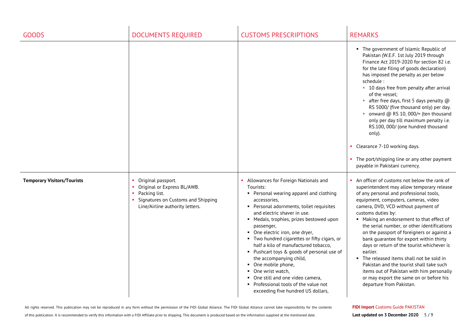| <b>GOODS</b>                       | <b>DOCUMENTS REQUIRED</b>                                                                                                                   | <b>CUSTOMS PRESCRIPTIONS</b>                                                                                                                                                                                                                                                                                                                                                                                                                                                                                                                                                                                           | <b>REMARKS</b>                                                                                                                                                                                                                                                                                                                                                                                                                                                                                                                                                                                                                                                                                          |
|------------------------------------|---------------------------------------------------------------------------------------------------------------------------------------------|------------------------------------------------------------------------------------------------------------------------------------------------------------------------------------------------------------------------------------------------------------------------------------------------------------------------------------------------------------------------------------------------------------------------------------------------------------------------------------------------------------------------------------------------------------------------------------------------------------------------|---------------------------------------------------------------------------------------------------------------------------------------------------------------------------------------------------------------------------------------------------------------------------------------------------------------------------------------------------------------------------------------------------------------------------------------------------------------------------------------------------------------------------------------------------------------------------------------------------------------------------------------------------------------------------------------------------------|
|                                    |                                                                                                                                             |                                                                                                                                                                                                                                                                                                                                                                                                                                                                                                                                                                                                                        | • The government of Islamic Republic of<br>Pakistan (W.E.F. 1st July 2019 through<br>Finance Act 2019-2020 for section 82 i.e.<br>for the late filing of goods declaration)<br>has imposed the penalty as per below<br>schedule :<br>■ 10 days free from penalty after arrival<br>of the vessel:<br><b>Example 1</b> after free days, first 5 days penalty $@$<br>RS 5000/ (five thousand only) per day.<br>• onward @ RS 10, 000/= (ten thousand<br>only per day till maximum penalty i.e.<br>RS.100, 000/ (one hundred thousand<br>only).<br>• Clearance 7-10 working days.<br>The port/shipping line or any other payment<br>payable in Pakistani currency.                                          |
| <b>Temporary Visitors/Tourists</b> | Original passport.<br>Original or Express BL/AWB.<br>Packing list.<br>Signatures on Customs and Shipping<br>Line/Airline authority letters. | Allowances for Foreign Nationals and<br>Tourists:<br>• Personal wearing apparel and clothing<br>accessories.<br>• Personal adornments, toilet requisites<br>and electric shaver in use.<br>• Medals, trophies, prizes bestowed upon<br>passenger,<br>• One electric iron, one dryer,<br>• Two hundred cigarettes or fifty cigars, or<br>half a kilo of manufactured tobacco,<br>• Pushcart toys & goods of personal use of<br>the accompanying child,<br>• One mobile phone,<br>• One wrist watch,<br>• One still and one video camera,<br>• Professional tools of the value not<br>exceeding five hundred US dollars, | • An officer of customs not below the rank of<br>superintendent may allow temporary release<br>of any personal and professional tools,<br>equipment, computers, cameras, video<br>camera, DVD, VCD without payment of<br>customs duties by:<br>• Making an endorsement to that effect of<br>the serial number, or other identifications<br>on the passport of foreigners or against a<br>bank guarantee for export within thirty<br>days or return of the tourist whichever is<br>earlier.<br>• The released items shall not be sold in<br>Pakistan and the tourist shall take such<br>items out of Pakistan with him personally<br>or may export the same on or before his<br>departure from Pakistan. |

**FIDI Import** Customs Guide PAKISTAN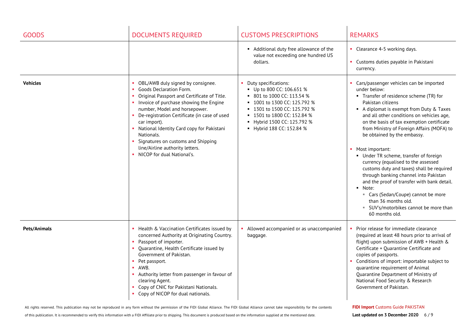| <b>GOODS</b>    | <b>DOCUMENTS REQUIRED</b>                                                                                                                                                                                                                                                                                                                                                                                                          | <b>CUSTOMS PRESCRIPTIONS</b>                                                                                                                                                                                                         | <b>REMARKS</b>                                                                                                                                                                                                                                                                                                                                                                                                                                                                                                                                                                                                                                                                                                         |
|-----------------|------------------------------------------------------------------------------------------------------------------------------------------------------------------------------------------------------------------------------------------------------------------------------------------------------------------------------------------------------------------------------------------------------------------------------------|--------------------------------------------------------------------------------------------------------------------------------------------------------------------------------------------------------------------------------------|------------------------------------------------------------------------------------------------------------------------------------------------------------------------------------------------------------------------------------------------------------------------------------------------------------------------------------------------------------------------------------------------------------------------------------------------------------------------------------------------------------------------------------------------------------------------------------------------------------------------------------------------------------------------------------------------------------------------|
|                 |                                                                                                                                                                                                                                                                                                                                                                                                                                    | • Additional duty free allowance of the<br>value not exceeding one hundred US<br>dollars.                                                                                                                                            | • Clearance 4-5 working days.<br>• Customs duties payable in Pakistani<br>currency.                                                                                                                                                                                                                                                                                                                                                                                                                                                                                                                                                                                                                                    |
| <b>Vehicles</b> | OBL/AWB duly signed by consignee.<br>Goods Declaration Form.<br>Original Passport and Certificate of Title.<br>• Invoice of purchase showing the Engine<br>number, Model and horsepower.<br>• De-registration Certificate (in case of used<br>car import).<br>• National Identity Card copy for Pakistani<br>Nationals.<br>• Signatures on customs and Shipping<br>line/Airline authority letters.<br>• NICOP for dual National's. | Duty specifications:<br>Up to 800 CC: 106.651 %<br>■ 801 to 1000 CC: 113.54 %<br>■ 1001 to 1300 CC: 125.792 %<br>■ 1301 to 1500 CC: 125.792 %<br>■ 1501 to 1800 CC: 152.84 %<br>Hybrid 1500 CC: 125.792 %<br>Hybrid 188 CC: 152.84 % | Cars/passenger vehicles can be imported<br>under below:<br>• Transfer of residence scheme (TR) for<br>Pakistan citizens<br>A diplomat is exempt from Duty & Taxes<br>and all other conditions on vehicles age,<br>on the basis of tax exemption certificate<br>from Ministry of Foreign Affairs (MOFA) to<br>be obtained by the embassy.<br>Most important:<br>• Under TR scheme, transfer of foreign<br>currency (equalised to the assessed<br>customs duty and taxes) shall be required<br>through banking channel into Pakistan<br>and the proof of transfer with bank detail.<br>• Note:<br>" Cars (Sedan/Coupe) cannot be more<br>than 36 months old.<br>" SUV's/motorbikes cannot be more than<br>60 months old. |
| Pets/Animals    | • Health & Vaccination Certificates issued by<br>concerned Authority at Originating Country.<br>Passport of importer.<br>Quarantine, Health Certificate issued by<br>Government of Pakistan.<br>• Pet passport.<br>AWB.<br>$\mathbf{u}$ .<br>• Authority letter from passenger in favour of<br>clearing Agent.<br>Copy of CNIC for Pakistani Nationals.<br>Copy of NICOP for dual nationals.                                       | Allowed accompanied or as unaccompanied<br>baggage.                                                                                                                                                                                  | Prior release for immediate clearance<br>(required at least 48 hours prior to arrival of<br>flight) upon submission of AWB + Health &<br>Certificate + Quarantine Certificate and<br>copies of passports.<br>Conditions of import: importable subject to<br>quarantine requirement of Animal<br>Quarantine Department of Ministry of<br>National Food Security & Research<br>Government of Pakistan.                                                                                                                                                                                                                                                                                                                   |

of this publication. It is recommended to verify this information with a FIDI Affiliate prior to shipping. This document is produced based on the information supplied at the mentioned date.

## **FIDI Import** Customs Guide PAKISTAN

**Last updated on 3 December 2020** 6 / 9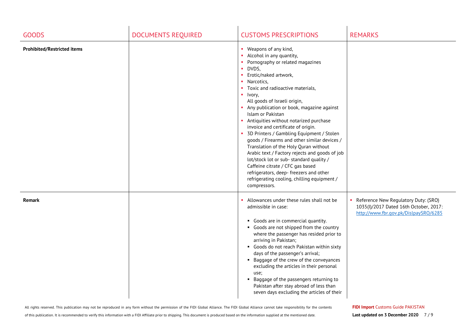| <b>GOODS</b>                       | <b>DOCUMENTS REQUIRED</b> | <b>CUSTOMS PRESCRIPTIONS</b>                                                                                                                                                                                                                                                                                                                                                                                                                                                                                                                                                                                                                                                                                                                                                                                                                      | <b>REMARKS</b>                                                                                                          |
|------------------------------------|---------------------------|---------------------------------------------------------------------------------------------------------------------------------------------------------------------------------------------------------------------------------------------------------------------------------------------------------------------------------------------------------------------------------------------------------------------------------------------------------------------------------------------------------------------------------------------------------------------------------------------------------------------------------------------------------------------------------------------------------------------------------------------------------------------------------------------------------------------------------------------------|-------------------------------------------------------------------------------------------------------------------------|
| <b>Prohibited/Restricted items</b> |                           | • Weapons of any kind,<br>• Alcohol in any quantity,<br>Pornography or related magazines<br>$\blacksquare$<br>DVDS,<br>$\mathbf{u}$<br>Erotic/naked artwork,<br>$\mathbf{r}$<br>$\mathbf{r}$<br>Narcotics,<br>• Toxic and radioactive materials,<br>$\blacksquare$ Ivory,<br>All goods of Israeli origin,<br>Any publication or book, magazine against<br>Islam or Pakistan<br>• Antiquities without notarized purchase<br>invoice and certificate of origin.<br>• 3D Printers / Gambling Equipment / Stolen<br>goods / Firearms and other similar devices /<br>Translation of the Holy Quran without<br>Arabic text / Factory rejects and goods of job<br>lot/stock lot or sub- standard quality /<br>Caffeine citrate / CFC gas based<br>refrigerators, deep- freezers and other<br>refrigerating cooling, chilling equipment /<br>compressors. |                                                                                                                         |
| <b>Remark</b>                      |                           | Allowances under these rules shall not be<br>admissible in case:<br>• Goods are in commercial quantity.<br>• Goods are not shipped from the country<br>where the passenger has resided prior to<br>arriving in Pakistan;<br>• Goods do not reach Pakistan within sixty<br>days of the passenger's arrival;<br>• Baggage of the crew of the conveyances<br>excluding the articles in their personal<br>use;<br>• Baggage of the passengers returning to<br>Pakistan after stay abroad of less than<br>seven days excluding the articles of their                                                                                                                                                                                                                                                                                                   | Reference New Regulatory Duty: (SRO)<br>1035(I)/2017 Dated 16th October, 2017:<br>http://www.fbr.gov.pk/DislpaySRO/6285 |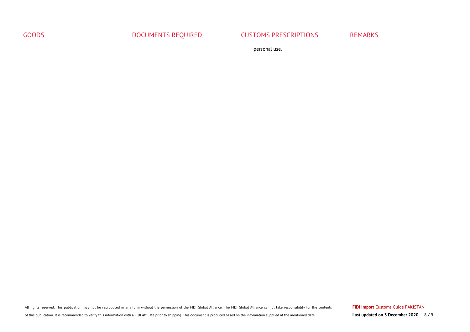| <b>GOODS</b> | DOCUMENTS REQUIRED | <b>CUSTOMS PRESCRIPTIONS</b> | <b>REMARKS</b> |
|--------------|--------------------|------------------------------|----------------|
|              |                    | personal use.                |                |